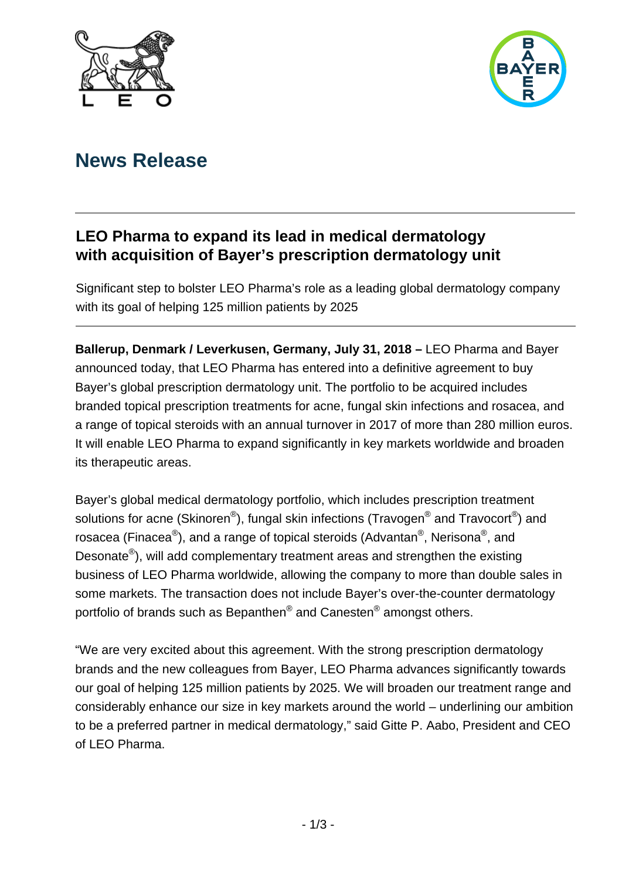



# **News Release**

## **LEO Pharma to expand its lead in medical dermatology with acquisition of Bayer's prescription dermatology unit**

Significant step to bolster LEO Pharma's role as a leading global dermatology company with its goal of helping 125 million patients by 2025

**Ballerup, Denmark / Leverkusen, Germany, July 31, 2018 –** LEO Pharma and Bayer announced today, that LEO Pharma has entered into a definitive agreement to buy Bayer's global prescription dermatology unit. The portfolio to be acquired includes branded topical prescription treatments for acne, fungal skin infections and rosacea, and a range of topical steroids with an annual turnover in 2017 of more than 280 million euros. It will enable LEO Pharma to expand significantly in key markets worldwide and broaden its therapeutic areas.

Bayer's global medical dermatology portfolio, which includes prescription treatment solutions for acne (Skinoren®), fungal skin infections (Travogen® and Travocort®) and rosacea (Finacea®), and a range of topical steroids (Advantan®, Nerisona®, and Desonate®), will add complementary treatment areas and strengthen the existing business of LEO Pharma worldwide, allowing the company to more than double sales in some markets. The transaction does not include Bayer's over-the-counter dermatology portfolio of brands such as Bepanthen® and Canesten® amongst others.

"We are very excited about this agreement. With the strong prescription dermatology brands and the new colleagues from Bayer, LEO Pharma advances significantly towards our goal of helping 125 million patients by 2025. We will broaden our treatment range and considerably enhance our size in key markets around the world – underlining our ambition to be a preferred partner in medical dermatology," said Gitte P. Aabo, President and CEO of LEO Pharma.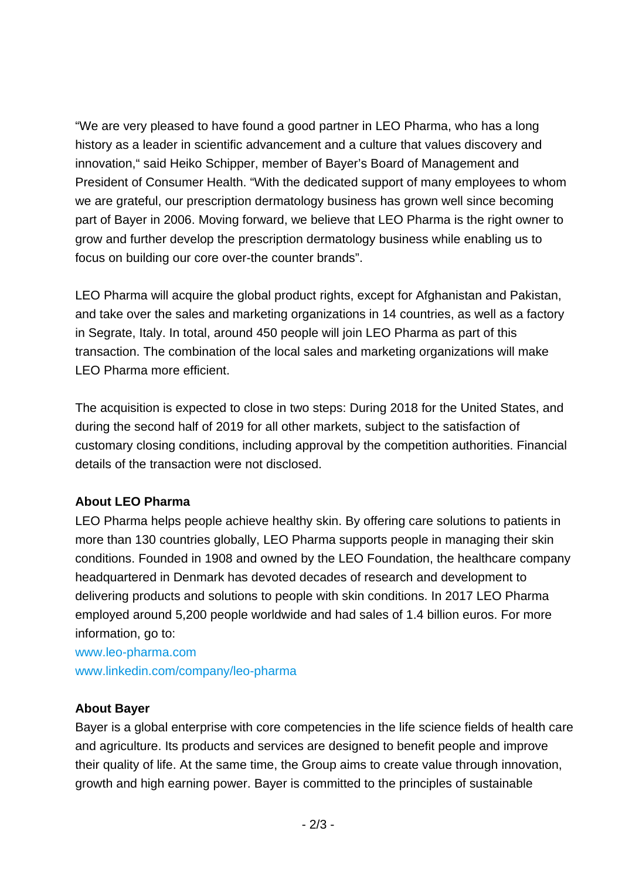"We are very pleased to have found a good partner in LEO Pharma, who has a long history as a leader in scientific advancement and a culture that values discovery and innovation," said Heiko Schipper, member of Bayer's Board of Management and President of Consumer Health. "With the dedicated support of many employees to whom we are grateful, our prescription dermatology business has grown well since becoming part of Bayer in 2006. Moving forward, we believe that LEO Pharma is the right owner to grow and further develop the prescription dermatology business while enabling us to focus on building our core over-the counter brands".

LEO Pharma will acquire the global product rights, except for Afghanistan and Pakistan, and take over the sales and marketing organizations in 14 countries, as well as a factory in Segrate, Italy. In total, around 450 people will join LEO Pharma as part of this transaction. The combination of the local sales and marketing organizations will make LEO Pharma more efficient.

The acquisition is expected to close in two steps: During 2018 for the United States, and during the second half of 2019 for all other markets, subject to the satisfaction of customary closing conditions, including approval by the competition authorities. Financial details of the transaction were not disclosed.

### **About LEO Pharma**

LEO Pharma helps people achieve healthy skin. By offering care solutions to patients in more than 130 countries globally, LEO Pharma supports people in managing their skin conditions. Founded in 1908 and owned by the LEO Foundation, the healthcare company headquartered in Denmark has devoted decades of research and development to delivering products and solutions to people with skin conditions. In 2017 LEO Pharma employed around 5,200 people worldwide and had sales of 1.4 billion euros. For more information, go to:

www.leo-pharma.com www.linkedin.com/company/leo-pharma

#### **About Bayer**

Bayer is a global enterprise with core competencies in the life science fields of health care and agriculture. Its products and services are designed to benefit people and improve their quality of life. At the same time, the Group aims to create value through innovation, growth and high earning power. Bayer is committed to the principles of sustainable